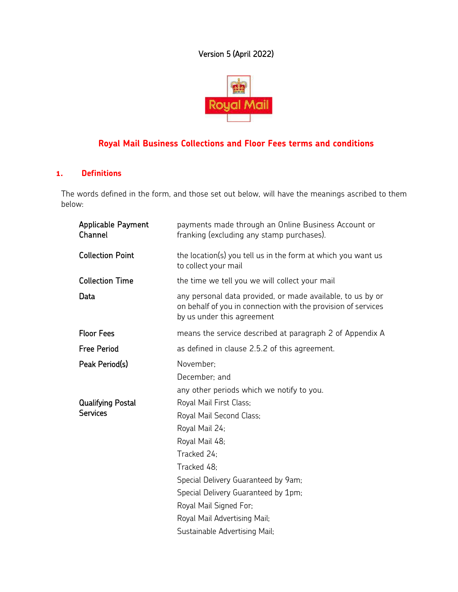# Version 5 (April 2022)



# **Royal Mail Business Collections and Floor Fees terms and conditions**

# **1. Definitions**

The words defined in the form, and those set out below, will have the meanings ascribed to them below:

| <b>Applicable Payment</b><br>Channel        | payments made through an Online Business Account or<br>franking (excluding any stamp purchases).                                                                                                                                                              |
|---------------------------------------------|---------------------------------------------------------------------------------------------------------------------------------------------------------------------------------------------------------------------------------------------------------------|
| <b>Collection Point</b>                     | the location(s) you tell us in the form at which you want us<br>to collect your mail                                                                                                                                                                          |
| <b>Collection Time</b>                      | the time we tell you we will collect your mail                                                                                                                                                                                                                |
| Data                                        | any personal data provided, or made available, to us by or<br>on behalf of you in connection with the provision of services<br>by us under this agreement                                                                                                     |
| <b>Floor Fees</b>                           | means the service described at paragraph 2 of Appendix A                                                                                                                                                                                                      |
| <b>Free Period</b>                          | as defined in clause 2.5.2 of this agreement.                                                                                                                                                                                                                 |
| Peak Period(s)                              | November:<br>December: and<br>any other periods which we notify to you.                                                                                                                                                                                       |
| <b>Qualifying Postal</b><br><b>Services</b> | Royal Mail First Class;<br>Royal Mail Second Class;<br>Royal Mail 24;<br>Royal Mail 48;<br>Tracked 24:<br>Tracked 48:<br>Special Delivery Guaranteed by 9am;<br>Special Delivery Guaranteed by 1pm;<br>Royal Mail Signed For;<br>Royal Mail Advertising Mail; |
|                                             | Sustainable Advertising Mail;                                                                                                                                                                                                                                 |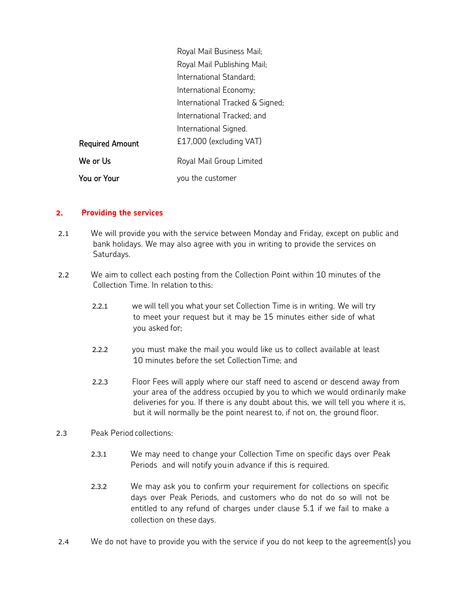|                        | Royal Mail Business Mail;       |
|------------------------|---------------------------------|
|                        | Royal Mail Publishing Mail;     |
|                        | International Standard;         |
|                        | International Economy;          |
|                        | International Tracked & Signed; |
|                        | International Tracked; and      |
|                        | International Signed.           |
| <b>Required Amount</b> | £17,000 (excluding VAT)         |
| We or Us               | Royal Mail Group Limited        |
| You or Your            | you the customer                |

### **2. Providing the services**

- 2.1 We will provide you with the service between Monday and Friday, except on public and bank holidays. We may also agree with you in writing to provide the services on Saturdays.
- 2.2 We aim to collect each posting from the Collection Point within 10 minutes of the Collection Time. In relation to this:
	- 2.2.1 we will tell you what your set Collection Time is in writing. We will try to meet your request but it may be 15 minutes either side of what you asked for;
	- 2.2.2 you must make the mail you would like us to collect available at least 10 minutes before the set CollectionTime; and
	- 2.2.3 Floor Fees will apply where our staff need to ascend or descend away from your area of the address occupied by you to which we would ordinarily make deliveries for you. If there is any doubt about this, we will tell you where it is, but it will normally be the point nearest to, if not on, the ground floor.
- 2.3 Peak Period collections:
	- 2.3.1 We may need to change your Collection Time on specific days over Peak Periods and will notify youin advance if this is required.
	- 2.3.2 We may ask you to confirm your requirement for collections on specific days over Peak Periods, and customers who do not do so will not be entitled to any refund of charges under clause 5.1 if we fail to make a collection on these days.
- 2.4 We do not have to provide you with the service if you do not keep to the agreement(s) you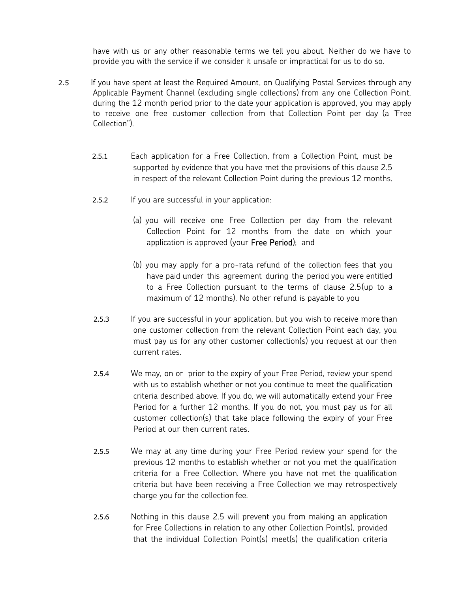have with us or any other reasonable terms we tell you about. Neither do we have to provide you with the service if we consider it unsafe or impractical for us to do so.

- 2.5 If you have spent at least the Required Amount, on Qualifying Postal Services through any Applicable Payment Channel (excluding single collections) from any one Collection Point, during the 12 month period prior to the date your application is approved, you may apply to receive one free customer collection from that Collection Point per day (a "Free Collection").
	- 2.5.1 Each application for a Free Collection, from a Collection Point, must be supported by evidence that you have met the provisions of this clause 2.5 in respect of the relevant Collection Point during the previous 12 months.
	- 2.5.2 If you are successful in your application:
		- (a) you will receive one Free Collection per day from the relevant Collection Point for 12 months from the date on which your application is approved (your Free Period); and
		- (b) you may apply for a pro-rata refund of the collection fees that you have paid under this agreement during the period you were entitled to a Free Collection pursuant to the terms of clause 2.5(up to a maximum of 12 months). No other refund is payable to you
	- 2.5.3 If you are successful in your application, but you wish to receive more than one customer collection from the relevant Collection Point each day, you must pay us for any other customer collection(s) you request at our then current rates.
	- 2.5.4 We may, on or prior to the expiry of your Free Period, review your spend with us to establish whether or not you continue to meet the qualification criteria described above. If you do, we will automatically extend your Free Period for a further 12 months. If you do not, you must pay us for all customer collection(s) that take place following the expiry of your Free Period at our then current rates.
	- 2.5.5 We may at any time during your Free Period review your spend for the previous 12 months to establish whether or not you met the qualification criteria for a Free Collection. Where you have not met the qualification criteria but have been receiving a Free Collection we may retrospectively charge you for the collection fee.
	- 2.5.6 Nothing in this clause 2.5 will prevent you from making an application for Free Collections in relation to any other Collection Point(s), provided that the individual Collection Point(s) meet(s) the qualification criteria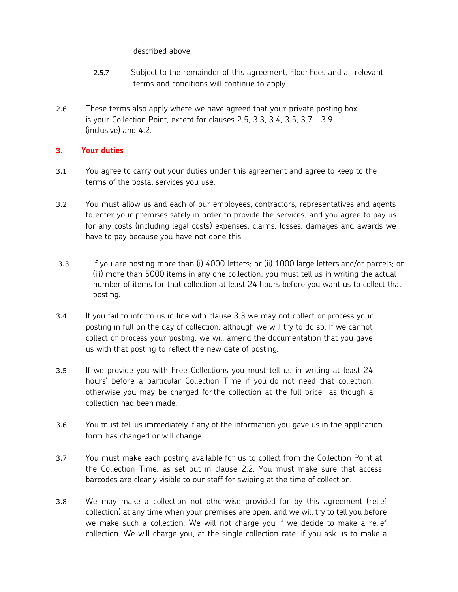described above.

- 2.5.7 Subject to the remainder of this agreement, Floor Fees and all relevant terms and conditions will continue to apply.
- 2.6 These terms also apply where we have agreed that your private posting box is your Collection Point, except for clauses 2.5, 3.3, 3.4, 3.5, 3.7 – 3.9 (inclusive) and 4.2.

# **3. Your duties**

- 3.1 You agree to carry out your duties under this agreement and agree to keep to the terms of the postal services you use.
- 3.2 You must allow us and each of our employees, contractors, representatives and agents to enter your premises safely in order to provide the services, and you agree to pay us for any costs (including legal costs) expenses, claims, losses, damages and awards we have to pay because you have not done this.
- 3.3 If you are posting more than (i) 4000 letters; or (ii) 1000 large letters and/or parcels; or (iii) more than 5000 items in any one collection, you must tell us in writing the actual number of items for that collection at least 24 hours before you want us to collect that posting.
- 3.4 If you fail to inform us in line with clause 3.3 we may not collect or process your posting in full on the day of collection, although we will try to do so. If we cannot collect or process your posting, we will amend the documentation that you gave us with that posting to reflect the new date of posting.
- 3.5 If we provide you with Free Collections you must tell us in writing at least 24 hours' before a particular Collection Time if you do not need that collection, otherwise you may be charged forthe collection at the full price as though a collection had been made.
- 3.6 You must tell us immediately if any of the information you gave us in the application form has changed or will change.
- 3.7 You must make each posting available for us to collect from the Collection Point at the Collection Time, as set out in clause 2.2. You must make sure that access barcodes are clearly visible to our staff for swiping at the time of collection.
- 3.8 We may make a collection not otherwise provided for by this agreement (relief collection) at any time when your premises are open, and we will try to tell you before we make such a collection. We will not charge you if we decide to make a relief collection. We will charge you, at the single collection rate, if you ask us to make a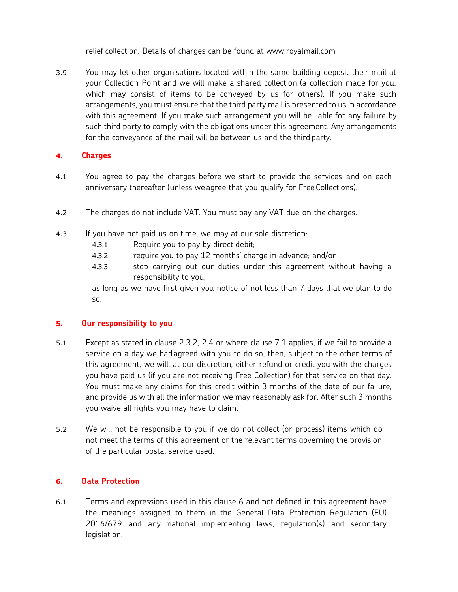relief collection. Details of charges can be found at www.royalmail.com

3.9 You may let other organisations located within the same building deposit their mail at your Collection Point and we will make a shared collection (a collection made for you, which may consist of items to be conveyed by us for others). If you make such arrangements, you must ensure that the third party mail is presented to us in accordance with this agreement. If you make such arrangement you will be liable for any failure by such third party to comply with the obligations under this agreement. Any arrangements for the conveyance of the mail will be between us and the third party.

# **4. Charges**

- 4.1 You agree to pay the charges before we start to provide the services and on each anniversary thereafter (unless we agree that you qualify for Free Collections).
- 4.2 The charges do not include VAT. You must pay any VAT due on the charges.
- 4.3 If you have not paid us on time, we may at our sole discretion:
	- 4.3.1 Require you to pay by direct debit;
	- 4.3.2 require you to pay 12 months' charge in advance; and/or
	- 4.3.3 stop carrying out our duties under this agreement without having a responsibility to you,

as long as we have first given you notice of not less than 7 days that we plan to do so.

### **5. Our responsibility to you**

- 5.1 Except as stated in clause 2.3.2, 2.4 or where clause 7.1 applies, if we fail to provide a service on a day we hadagreed with you to do so, then, subject to the other terms of this agreement, we will, at our discretion, either refund or credit you with the charges you have paid us (if you are not receiving Free Collection) for that service on that day. You must make any claims for this credit within 3 months of the date of our failure, and provide us with all the information we may reasonably ask for. After such 3 months you waive all rights you may have to claim.
- 5.2 We will not be responsible to you if we do not collect (or process) items which do not meet the terms of this agreement or the relevant terms governing the provision of the particular postal service used.

## **6. Data Protection**

6.1 Terms and expressions used in this clause 6 and not defined in this agreement have the meanings assigned to them in the General Data Protection Regulation (EU) 2016/679 and any national implementing laws, regulation(s) and secondary legislation.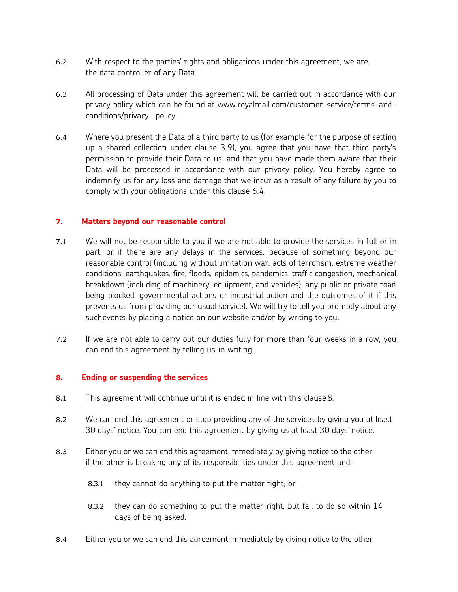- 6.2 With respect to the parties' rights and obligations under this agreement, we are the data controller of any Data.
- 6.3 All processing of Data under this agreement will be carried out in accordance with our privacy policy which can be found at [www.royalmail.com/customer-service/terms-and](http://www.royalmail.com/customer-service/terms-and-conditions/privacy-policy)[conditions/privacy-](http://www.royalmail.com/customer-service/terms-and-conditions/privacy-policy) [policy.](http://www.royalmail.com/customer-service/terms-and-conditions/privacy-policy)
- 6.4 Where you present the Data of a third party to us (for example for the purpose of setting up a shared collection under clause 3.9), you agree that you have that third party's permission to provide their Data to us, and that you have made them aware that their Data will be processed in accordance with our privacy policy. You hereby agree to indemnify us for any loss and damage that we incur as a result of any failure by you to comply with your obligations under this clause 6.4.

#### **7. Matters beyond our reasonable control**

- 7.1 We will not be responsible to you if we are not able to provide the services in full or in part, or if there are any delays in the services, because of something beyond our reasonable control (including without limitation war, acts of terrorism, extreme weather conditions, earthquakes, fire, floods, epidemics, pandemics, traffic congestion, mechanical breakdown (including of machinery, equipment, and vehicles), any public or private road being blocked, governmental actions or industrial action and the outcomes of it if this prevents us from providing our usual service). We will try to tell you promptly about any suchevents by placing a notice on our website and/or by writing to you.
- 7.2 If we are not able to carry out our duties fully for more than four weeks in a row, you can end this agreement by telling us in writing.

#### **8. Ending or suspending the services**

- 8.1 This agreement will continue until it is ended in line with this clause 8.
- 8.2 We can end this agreement or stop providing any of the services by giving you at least 30 days' notice. You can end this agreement by giving us at least 30 days' notice.
- 8.3 Either you or we can end this agreement immediately by giving notice to the other if the other is breaking any of its responsibilities under this agreement and:
	- 8.3.1 they cannot do anything to put the matter right; or
	- 8.3.2 they can do something to put the matter right, but fail to do so within 14 days of being asked.
- 8.4 Either you or we can end this agreement immediately by giving notice to the other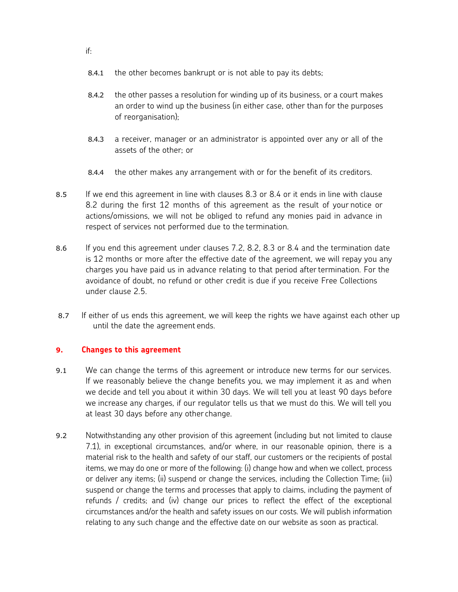- 8.4.1 the other becomes bankrupt or is not able to pay its debts;
- 8.4.2 the other passes a resolution for winding up of its business, or a court makes an order to wind up the business (in either case, other than for the purposes of reorganisation);
- 8.4.3 a receiver, manager or an administrator is appointed over any or all of the assets of the other; or
- 8.4.4 the other makes any arrangement with or for the benefit of its creditors.
- 8.5 If we end this agreement in line with clauses 8.3 or 8.4 or it ends in line with clause 8.2 during the first 12 months of this agreement as the result of your notice or actions/omissions, we will not be obliged to refund any monies paid in advance in respect of services not performed due to the termination.
- 8.6 If you end this agreement under clauses 7.2, 8.2, 8.3 or 8.4 and the termination date is 12 months or more after the effective date of the agreement, we will repay you any charges you have paid us in advance relating to that period aftertermination. For the avoidance of doubt, no refund or other credit is due if you receive Free Collections under clause 2.5.
- 8.7 If either of us ends this agreement, we will keep the rights we have against each other up until the date the agreement ends.

### **9. Changes to this agreement**

- 9.1 We can change the terms of this agreement or introduce new terms for our services. If we reasonably believe the change benefits you, we may implement it as and when we decide and tell you about it within 30 days. We will tell you at least 90 days before we increase any charges, if our regulator tells us that we must do this. We will tell you at least 30 days before any other change.
- 9.2 Notwithstanding any other provision of this agreement (including but not limited to clause 7.1), in exceptional circumstances, and/or where, in our reasonable opinion, there is a material risk to the health and safety of our staff, our customers or the recipients of postal items, we may do one or more of the following: (i) change how and when we collect, process or deliver any items; (ii) suspend or change the services, including the Collection Time; (iii) suspend or change the terms and processes that apply to claims, including the payment of refunds / credits; and (iv) change our prices to reflect the effect of the exceptional circumstances and/or the health and safety issues on our costs. We will publish information relating to any such change and the effective date on our website as soon as practical.

if: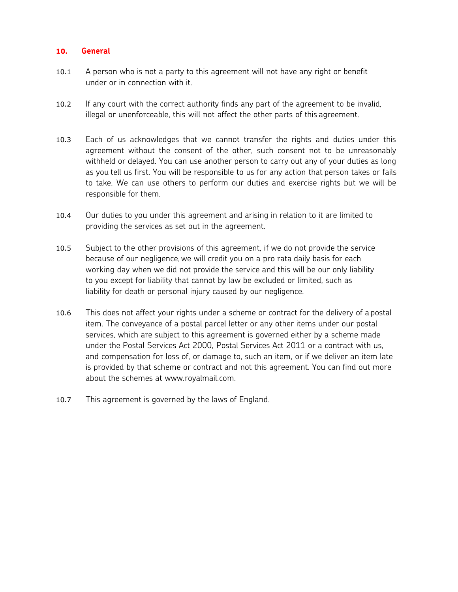#### **10. General**

- 10.1 A person who is not a party to this agreement will not have any right or benefit under or in connection with it.
- 10.2 If any court with the correct authority finds any part of the agreement to be invalid, illegal or unenforceable, this will not affect the other parts of this agreement.
- 10.3 Each of us acknowledges that we cannot transfer the rights and duties under this agreement without the consent of the other, such consent not to be unreasonably withheld or delayed. You can use another person to carry out any of your duties as long as you tell us first. You will be responsible to us for any action that person takes or fails to take. We can use others to perform our duties and exercise rights but we will be responsible for them.
- 10.4 Our duties to you under this agreement and arising in relation to it are limited to providing the services as set out in the agreement.
- 10.5 Subject to the other provisions of this agreement, if we do not provide the service because of our negligence,we will credit you on a pro rata daily basis for each working day when we did not provide the service and this will be our only liability to you except for liability that cannot by law be excluded or limited, such as liability for death or personal injury caused by our negligence.
- 10.6 This does not affect your rights under a scheme or contract for the delivery of a postal item. The conveyance of a postal parcel letter or any other items under our postal services, which are subject to this agreement is governed either by a scheme made under the Postal Services Act 2000, Postal Services Act 2011 or a contract with us, and compensation for loss of, or damage to, such an item, or if we deliver an item late is provided by that scheme or contract and not this agreement. You can find out more about the schemes at [www.royalmail.com.](http://www.royalmail.com/)
- 10.7 This agreement is governed by the laws of England.